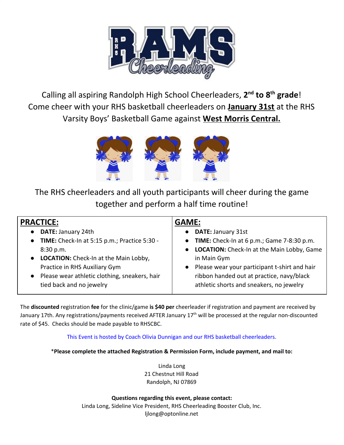

Calling all aspiring Randolph High School Cheerleaders, **2 nd to 8 th grade**! Come cheer with your RHS basketball cheerleaders on **January 31st** at the RHS Varsity Boys' Basketball Game against **West Morris Central.**



The RHS cheerleaders and all youth participants will cheer during the game together and perform a half time routine!

| <b>PRACTICE:</b>                                | <b>GAME:</b>                                  |
|-------------------------------------------------|-----------------------------------------------|
| DATE: January 24th<br>$\bullet$                 | <b>DATE: January 31st</b>                     |
| • TIME: Check-In at 5:15 p.m.; Practice 5:30 -  | • TIME: Check-In at 6 p.m.; Game 7-8:30 p.m.  |
| 8:30 p.m.                                       | • LOCATION: Check-In at the Main Lobby, Game  |
| • LOCATION: Check-In at the Main Lobby,         | in Main Gym                                   |
| Practice in RHS Auxiliary Gym                   | Please wear your participant t-shirt and hair |
| • Please wear athletic clothing, sneakers, hair | ribbon handed out at practice, navy/black     |
| tied back and no jewelry                        | athletic shorts and sneakers, no jewelry      |
|                                                 |                                               |

The **discounted** registration **fee** for the clinic/game **is \$40 per** cheerleader if registration and payment are received by January 17th. Any registrations/payments received AFTER January 17<sup>th</sup> will be processed at the regular non-discounted rate of \$45. Checks should be made payable to RHSCBC.

This Event is hosted by Coach Olivia Dunnigan and our RHS basketball cheerleaders.

\***Please complete the attached Registration & Permission Form, include payment, and mail to:**

Linda Long 21 Chestnut Hill Road Randolph, NJ 07869

**Questions regarding this event, please contact:** Linda Long, Sideline Vice President, RHS Cheerleading Booster Club, Inc. ljlong@optonline.net